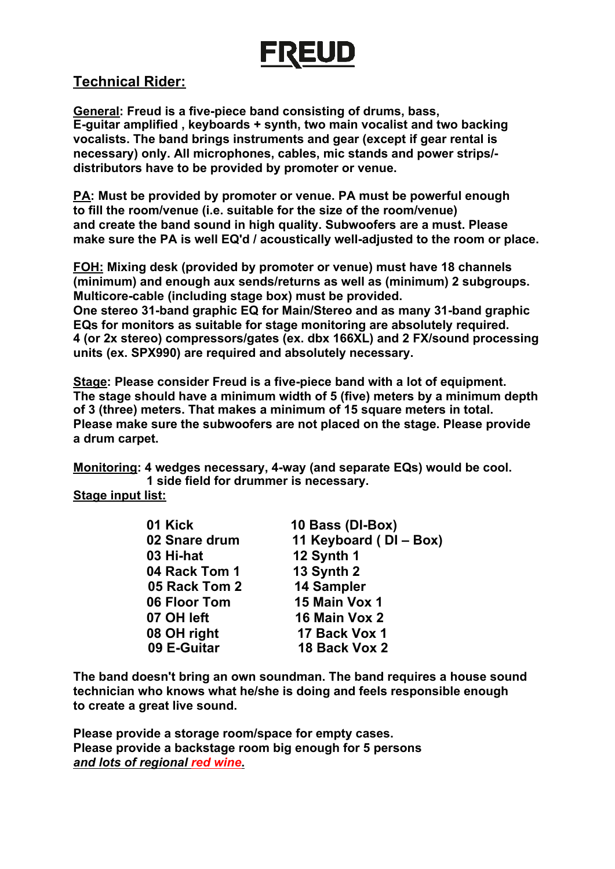# **FREUD**

## **Technical Rider:**

**General: Freud is a five-piece band consisting of drums, bass, E-guitar amplified , keyboards + synth, two main vocalist and two backing vocalists. The band brings instruments and gear (except if gear rental is necessary) only. All microphones, cables, mic stands and power strips/ distributors have to be provided by promoter or venue.**

**PA: Must be provided by promoter or venue. PA must be powerful enough to fill the room/venue (i.e. suitable for the size of the room/venue) and create the band sound in high quality. Subwoofers are a must. Please make sure the PA is well EQ'd / acoustically well-adjusted to the room or place.**

**FOH: Mixing desk (provided by promoter or venue) must have 18 channels (minimum) and enough aux sends/returns as well as (minimum) 2 subgroups. Multicore-cable (including stage box) must be provided. One stereo 31-band graphic EQ for Main/Stereo and as many 31-band graphic EQs for monitors as suitable for stage monitoring are absolutely required. 4 (or 2x stereo) compressors/gates (ex. dbx 166XL) and 2 FX/sound processing units (ex. SPX990) are required and absolutely necessary.**

**Stage: Please consider Freud is a five-piece band with a lot of equipment. The stage should have a minimum width of 5 (five) meters by a minimum depth of 3 (three) meters. That makes a minimum of 15 square meters in total. Please make sure the subwoofers are not placed on the stage. Please provide a drum carpet.**

**Monitoring: 4 wedges necessary, 4-way (and separate EQs) would be cool. 1 side field for drummer is necessary.**

#### **Stage input list:**

| 01 Kick       | 10 Bass (DI-Box)       |
|---------------|------------------------|
| 02 Snare drum | 11 Keyboard (DI - Box) |
| 03 Hi-hat     | 12 Synth 1             |
| 04 Rack Tom 1 | 13 Synth 2             |
| 05 Rack Tom 2 | 14 Sampler             |
| 06 Floor Tom  | 15 Main Vox 1          |
| 07 OH left    | 16 Main Vox 2          |
| 08 OH right   | 17 Back Vox 1          |
| 09 E-Guitar   | 18 Back Vox 2          |

**The band doesn't bring an own soundman. The band requires a house sound technician who knows what he/she is doing and feels responsible enough to create a great live sound.**

**Please provide a storage room/space for empty cases. Please provide a backstage room big enough for 5 persons**  *and lots of regional red wine***.**